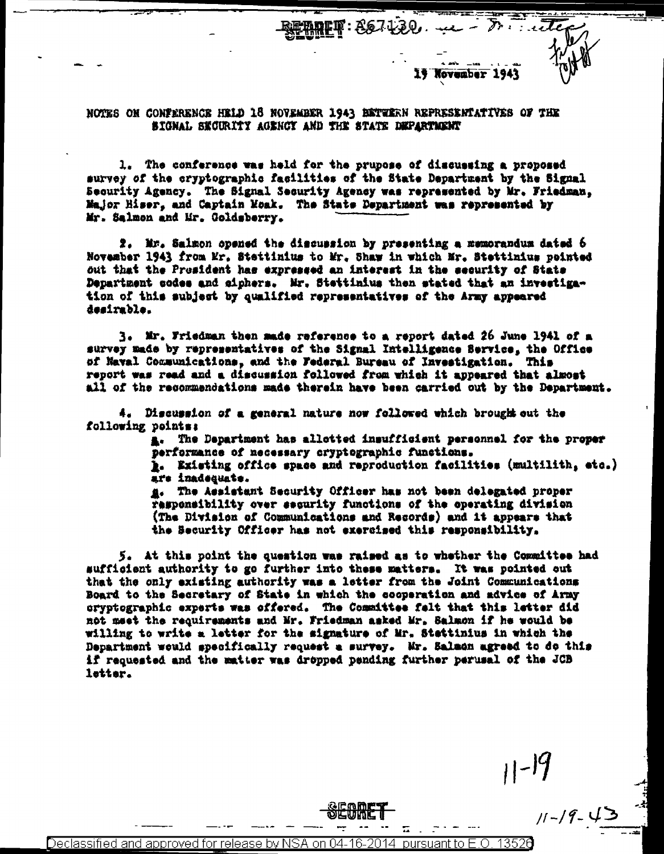November 1943

 $r = t$ 

 $11 - 19$ 

 $\mathbb{R} \mathbb{F}$  :  $867130$ , we -

NOTES ON CONFERENCE HELD 18 NOVEMBER 1943 BETWERN REPRESENTATIVES OF THE SIGNAL SECURITY AGENCY AND THE STATE DEPARTMENT

1. The conference was held for the prupose of discussing a proposed survey of the cryptographic facilities of the State Department by the Signal Security Agency. The Signal Security Agency was represented by Mr. Friedman. Major Hiser, and Captain Moak. The State Department was represented by Mr. Salmon and Mr. Goldsberry.

2. Mr. Salmon opened the discussion by presenting a memorandum dated 6 November 1943 from Mr. Stettinius to Mr. Shaw in which Mr. Stettinius pointed out that the President has expressed an interest in the security of State Department codes and ciphers. Mr. Stettinius then stated that an investigation of this subject by qualified representatives of the Army appeared desirable.

3. Mr. Friedman then made reference to a report dated 26 June 1941 of a survey made by representatives of the Signal Intelligence Service, the Office of Naval Communications, and the Federal Bureau of Investigation. This report was read and a discussion followed from which it appeared that almost all of the recommendations made therein have been carried out by the Department.

4. Discussion of a general nature now followed which brough out the following points:

> a. The Department has allotted insufficient personnel for the proper performance of necessary cryptographic functions.

**E.** Existing office space and reproduction facilities (multilith, etc.) are inadequate.

#. The Assistant Security Officer has not been delegated proper responsibility over security functions of the operating division (The Division of Communications and Records) and it appears that the Security Officer has not exercised this responsibility.

5. At this point the question was raised as to whether the Committee had sufficient authority to go further into these matters. It was pointed out that the only existing authority was a letter from the Joint Communications Board to the Secretary of State in which the cooperation and advice of Army cryptographic experts was offered. The Committee falt that this letter did not meet the requirements and Mr. Friedman asked Mr. Salmon if he would be willing to write a letter for the signature of Mr. Stettinius in which the Department would specifically request a survey. Mr. Salmon agreed to do this if requested and the matter was dropped pending further parusal of the JCB letter.

<u>Declassified and approved for release by NS</u> 13526 iant to E-O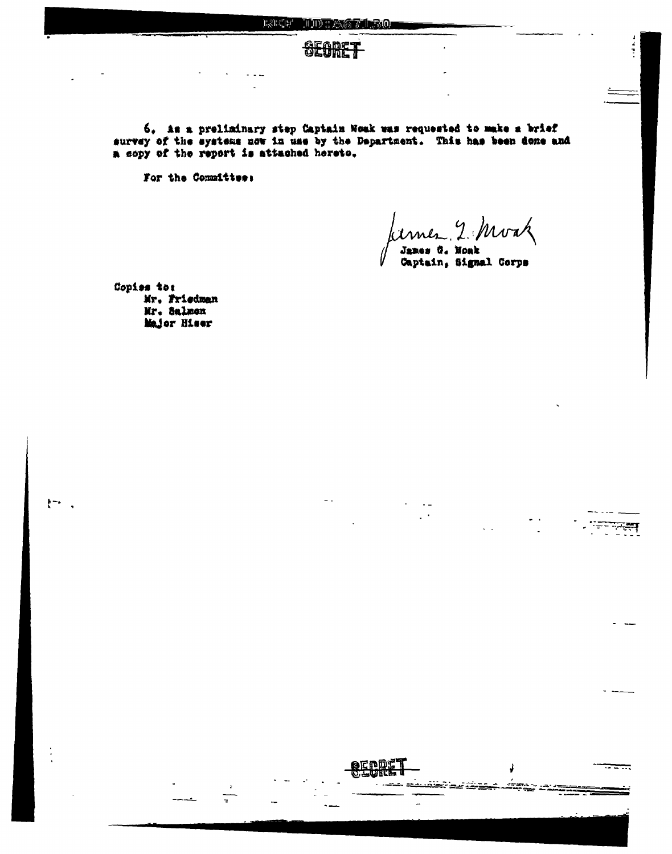

6. As a preliminary step Captain Noak was requested to make a brief survey of the systems now in use by the Department. This has been done and a copy of the report is attached hereto.

For the Committee:

Kimer 2 Moak

James G. Monk Captain, Signal Corps

 $\mathbb{R}^{\mathbb{Z}^2}$ 

===

Copies to: Mr. Friedman Mr. Salmon Major Hiser

 $\frac{1}{2}$  –  $\frac{1}{2}$